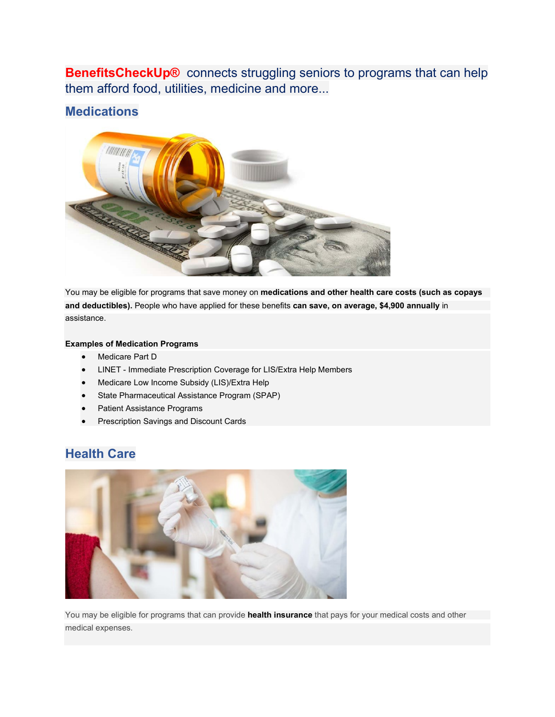**BenefitsCheckUp®** connects struggling seniors to programs that can help them afford food, utilities, medicine and more...

# **Medications**



You may be eligible for programs that save money on **medications and other health care costs (such as copays and deductibles).** People who have applied for these benefits **can save, on average, \$4,900 annually** in assistance.

#### **Examples of Medication Programs**

- Medicare Part D
- LINET Immediate Prescription Coverage for LIS/Extra Help Members
- Medicare Low Income Subsidy (LIS)/Extra Help
- State Pharmaceutical Assistance Program (SPAP)
- Patient Assistance Programs
- Prescription Savings and Discount Cards

# **Health Care**



You may be eligible for programs that can provide **health insurance** that pays for your medical costs and other medical expenses.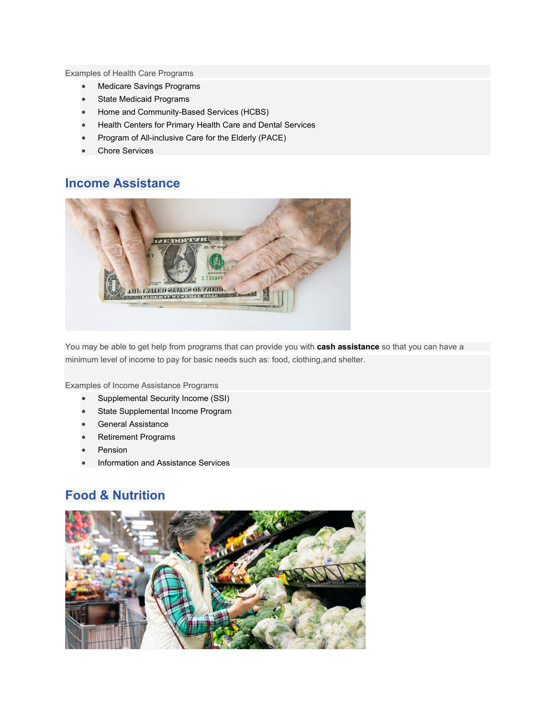Examples of Health Care Programs

- Medicare Savings Programs
- **State Medicaid Programs**
- Home and Community-Based Services (HCBS)
- Health Centers for Primary Health Care and Dental Services
- Program of All-inclusive Care for the Elderly (PACE)
- **Chore Services**

### **Income Assistance**



You may be able to get help from programs that can provide you with **cash assistance** so that you can have a minimum level of income to pay for basic needs such as: food, clothing,and shelter.

Examples of Income Assistance Programs

- Supplemental Security Income (SSI)
- **State Supplemental Income Program**
- General Assistance
- Retirement Programs
- **Pension**
- Information and Assistance Services

# **Food & Nutrition**

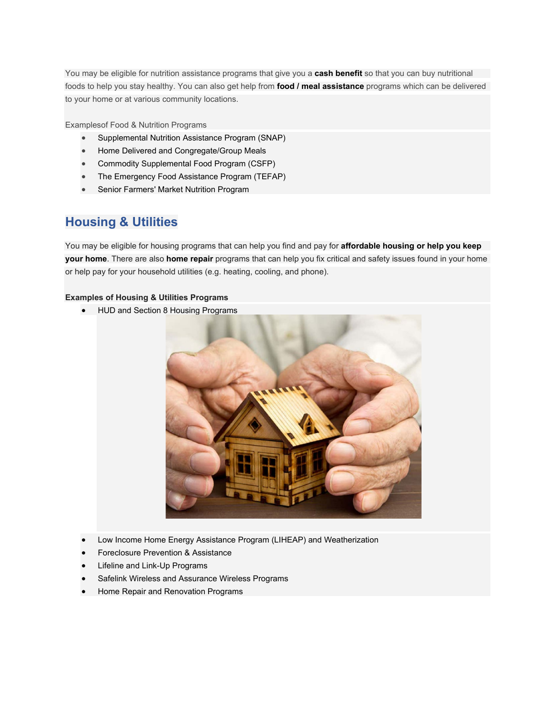You may be eligible for nutrition assistance programs that give you a **cash benefit** so that you can buy nutritional foods to help you stay healthy. You can also get help from **food / meal assistance** programs which can be delivered to your home or at various community locations.

Examplesof Food & Nutrition Programs

- Supplemental Nutrition Assistance Program (SNAP)
- Home Delivered and Congregate/Group Meals
- Commodity Supplemental Food Program (CSFP)
- The Emergency Food Assistance Program (TEFAP)
- Senior Farmers' Market Nutrition Program

# **Housing & Utilities**

You may be eligible for housing programs that can help you find and pay for **affordable housing or help you keep your home**. There are also **home repair** programs that can help you fix critical and safety issues found in your home or help pay for your household utilities (e.g. heating, cooling, and phone).

#### **Examples of Housing & Utilities Programs**

• HUD and Section 8 Housing Programs



- Low Income Home Energy Assistance Program (LIHEAP) and Weatherization
- Foreclosure Prevention & Assistance
- Lifeline and Link-Up Programs
- Safelink Wireless and Assurance Wireless Programs
- Home Repair and Renovation Programs